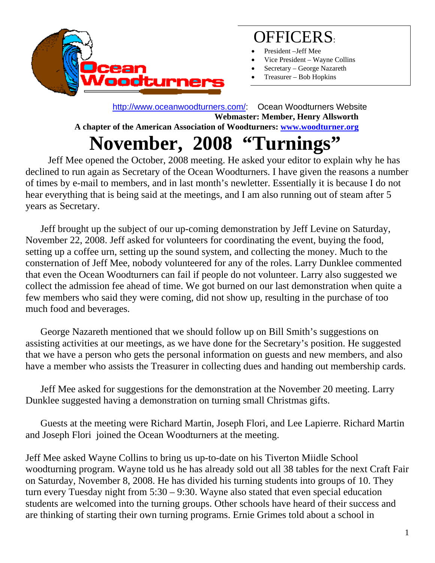

### OFFICERS:

- President –Jeff Mee
- Vice President Wayne Collins
- Secretary George Nazareth
- Treasurer Bob Hopkins

 http://www.oceanwoodturners.com/: Ocean Woodturners Website **Webmaster: Member, Henry Allsworth A chapter of the American Association of Woodturners: www.woodturner.org** 

## **November, 2008 "Turnings"**

Jeff Mee opened the October, 2008 meeting. He asked your editor to explain why he has declined to run again as Secretary of the Ocean Woodturners. I have given the reasons a number of times by e-mail to members, and in last month's newletter. Essentially it is because I do not hear everything that is being said at the meetings, and I am also running out of steam after 5 years as Secretary.

 Jeff brought up the subject of our up-coming demonstration by Jeff Levine on Saturday, November 22, 2008. Jeff asked for volunteers for coordinating the event, buying the food, setting up a coffee urn, setting up the sound system, and collecting the money. Much to the consternation of Jeff Mee, nobody volunteered for any of the roles. Larry Dunklee commented that even the Ocean Woodturners can fail if people do not volunteer. Larry also suggested we collect the admission fee ahead of time. We got burned on our last demonstration when quite a few members who said they were coming, did not show up, resulting in the purchase of too much food and beverages.

 George Nazareth mentioned that we should follow up on Bill Smith's suggestions on assisting activities at our meetings, as we have done for the Secretary's position. He suggested that we have a person who gets the personal information on guests and new members, and also have a member who assists the Treasurer in collecting dues and handing out membership cards.

 Jeff Mee asked for suggestions for the demonstration at the November 20 meeting. Larry Dunklee suggested having a demonstration on turning small Christmas gifts.

 Guests at the meeting were Richard Martin, Joseph Flori, and Lee Lapierre. Richard Martin and Joseph Flori joined the Ocean Woodturners at the meeting.

Jeff Mee asked Wayne Collins to bring us up-to-date on his Tiverton Miidle School woodturning program. Wayne told us he has already sold out all 38 tables for the next Craft Fair on Saturday, November 8, 2008. He has divided his turning students into groups of 10. They turn every Tuesday night from 5:30 – 9:30. Wayne also stated that even special education students are welcomed into the turning groups. Other schools have heard of their success and are thinking of starting their own turning programs. Ernie Grimes told about a school in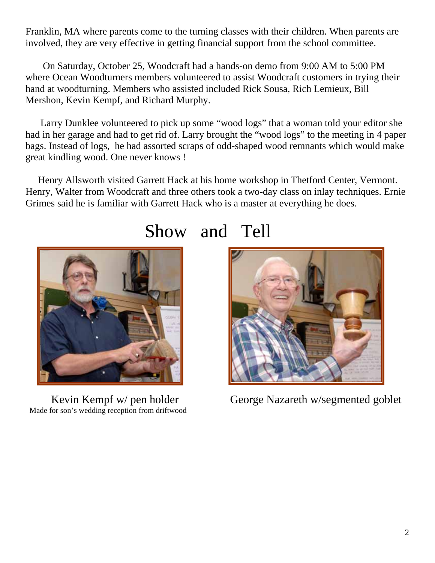Franklin, MA where parents come to the turning classes with their children. When parents are involved, they are very effective in getting financial support from the school committee.

 On Saturday, October 25, Woodcraft had a hands-on demo from 9:00 AM to 5:00 PM where Ocean Woodturners members volunteered to assist Woodcraft customers in trying their hand at woodturning. Members who assisted included Rick Sousa, Rich Lemieux, Bill Mershon, Kevin Kempf, and Richard Murphy.

 Larry Dunklee volunteered to pick up some "wood logs" that a woman told your editor she had in her garage and had to get rid of. Larry brought the "wood logs" to the meeting in 4 paper bags. Instead of logs, he had assorted scraps of odd-shaped wood remnants which would make great kindling wood. One never knows !

 Henry Allsworth visited Garrett Hack at his home workshop in Thetford Center, Vermont. Henry, Walter from Woodcraft and three others took a two-day class on inlay techniques. Ernie Grimes said he is familiar with Garrett Hack who is a master at everything he does.



Made for son's wedding reception from driftwood

### Show and Tell



Kevin Kempf w/ pen holder George Nazareth w/segmented goblet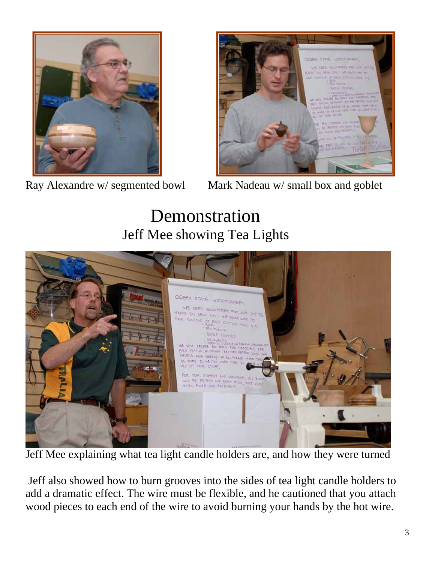



Ray Alexandre w/ segmented bowl Mark Nadeau w/ small box and goblet

# Demonstration Jeff Mee showing Tea Lights



Jeff Mee explaining what tea light candle holders are, and how they were turned

 Jeff also showed how to burn grooves into the sides of tea light candle holders to add a dramatic effect. The wire must be flexible, and he cautioned that you attach wood pieces to each end of the wire to avoid burning your hands by the hot wire.